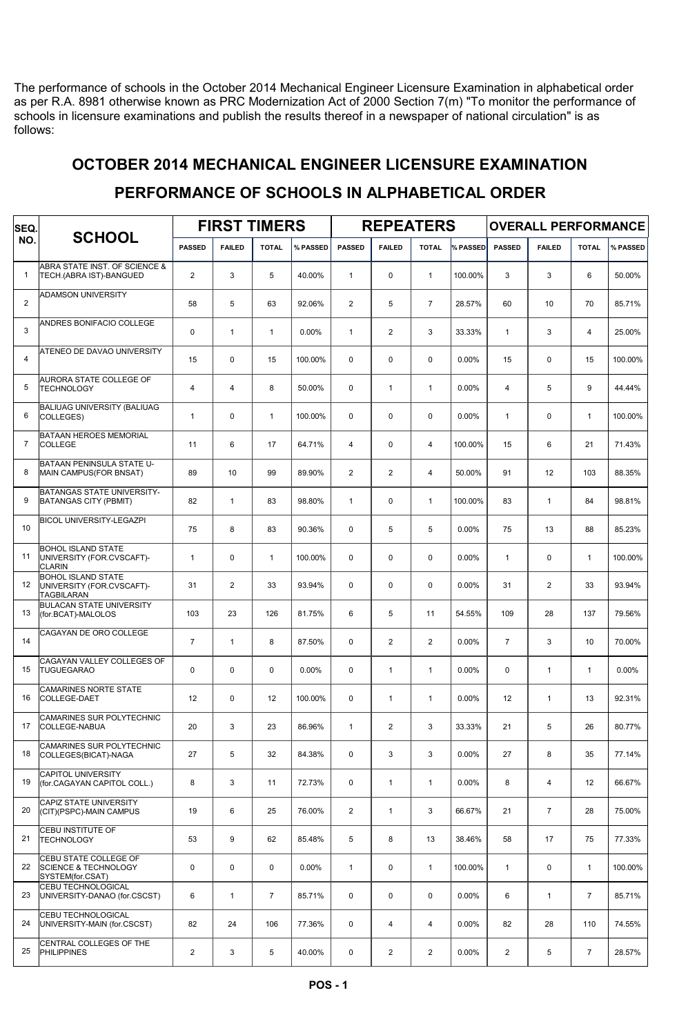The performance of schools in the October 2014 Mechanical Engineer Licensure Examination in alphabetical order as per R.A. 8981 otherwise known as PRC Modernization Act of 2000 Section 7(m) "To monitor the performance of schools in licensure examinations and publish the results thereof in a newspaper of national circulation" is as follows:

| SEQ.           | <b>SCHOOL</b>                                                                |                | <b>FIRST TIMERS</b> |                |          |                | <b>REPEATERS</b>        |                |          | <b>OVERALL PERFORMANCE</b> |                |                 |          |  |
|----------------|------------------------------------------------------------------------------|----------------|---------------------|----------------|----------|----------------|-------------------------|----------------|----------|----------------------------|----------------|-----------------|----------|--|
| NO.            |                                                                              | <b>PASSED</b>  | <b>FAILED</b>       | <b>TOTAL</b>   | % PASSED | <b>PASSED</b>  | <b>FAILED</b>           | <b>TOTAL</b>   | % PASSED | <b>PASSED</b>              | <b>FAILED</b>  | <b>TOTAL</b>    | % PASSED |  |
| 1              | ABRA STATE INST. OF SCIENCE &<br>TECH.(ABRA IST)-BANGUED                     | 2              | 3                   | 5              | 40.00%   | $\mathbf{1}$   | $\mathbf 0$             | $\mathbf{1}$   | 100.00%  | 3                          | 3              | 6               | 50.00%   |  |
| $\overline{2}$ | <b>ADAMSON UNIVERSITY</b>                                                    | 58             | 5                   | 63             | 92.06%   | $\overline{2}$ | 5                       | $\overline{7}$ | 28.57%   | 60                         | 10             | 70              | 85.71%   |  |
| 3              | ANDRES BONIFACIO COLLEGE                                                     | $\mathbf 0$    | $\mathbf{1}$        | $\mathbf{1}$   | $0.00\%$ | $\mathbf{1}$   | $\overline{2}$          | 3              | 33.33%   | $\mathbf{1}$               | 3              | $\overline{4}$  | 25.00%   |  |
| 4              | ATENEO DE DAVAO UNIVERSITY                                                   | 15             | $\mathbf 0$         | 15             | 100.00%  | $\mathbf 0$    | $\pmb{0}$               | $\mathbf 0$    | 0.00%    | 15                         | 0              | 15              | 100.00%  |  |
| 5              | AURORA STATE COLLEGE OF<br><b>TECHNOLOGY</b>                                 | $\overline{4}$ | $\overline{4}$      | 8              | 50.00%   | 0              | $\mathbf{1}$            | $\mathbf{1}$   | 0.00%    | $\overline{4}$             | 5              | 9               | 44.44%   |  |
| 6              | <b>BALIUAG UNIVERSITY (BALIUAG</b><br>COLLEGES)                              | $\mathbf{1}$   | $\mathbf 0$         | $\mathbf{1}$   | 100.00%  | 0              | $\mathbf 0$             | $\mathbf 0$    | 0.00%    | $\mathbf{1}$               | 0              | $\mathbf{1}$    | 100.00%  |  |
| $\overline{7}$ | <b>BATAAN HEROES MEMORIAL</b><br><b>COLLEGE</b>                              | 11             | 6                   | 17             | 64.71%   | $\overline{4}$ | $\mathbf 0$             | $\overline{4}$ | 100.00%  | 15                         | 6              | 21              | 71.43%   |  |
| 8              | BATAAN PENINSULA STATE U-<br>MAIN CAMPUS(FOR BNSAT)                          | 89             | 10                  | 99             | 89.90%   | 2              | $\overline{2}$          | $\overline{4}$ | 50.00%   | 91                         | 12             | 103             | 88.35%   |  |
| 9              | BATANGAS STATE UNIVERSITY-<br><b>BATANGAS CITY (PBMIT)</b>                   | 82             | $\mathbf{1}$        | 83             | 98.80%   | $\mathbf{1}$   | $\mathbf 0$             | $\mathbf{1}$   | 100.00%  | 83                         | $\mathbf{1}$   | 84              | 98.81%   |  |
| 10             | <b>BICOL UNIVERSITY-LEGAZPI</b>                                              | 75             | 8                   | 83             | 90.36%   | $\mathbf 0$    | 5                       | 5              | 0.00%    | 75                         | 13             | 88              | 85.23%   |  |
| 11             | <b>BOHOL ISLAND STATE</b><br>UNIVERSITY (FOR.CVSCAFT)-<br><b>CLARIN</b>      | $\mathbf{1}$   | $\mathbf 0$         | $\mathbf{1}$   | 100.00%  | $\mathbf 0$    | $\mathbf 0$             | $\mathbf 0$    | 0.00%    | $\mathbf{1}$               | 0              | $\mathbf{1}$    | 100.00%  |  |
| 12             | <b>BOHOL ISLAND STATE</b><br>UNIVERSITY (FOR.CVSCAFT)-<br><b>TAGBILARAN</b>  | 31             | $\overline{2}$      | 33             | 93.94%   | $\mathbf 0$    | $\mathbf 0$             | $\mathbf 0$    | 0.00%    | 31                         | $\overline{2}$ | 33              | 93.94%   |  |
| 13             | <b>BULACAN STATE UNIVERSITY</b><br>(for.BCAT)-MALOLOS                        | 103            | 23                  | 126            | 81.75%   | 6              | 5                       | 11             | 54.55%   | 109                        | 28             | 137             | 79.56%   |  |
| 14             | CAGAYAN DE ORO COLLEGE                                                       | $\overline{7}$ | $\mathbf{1}$        | 8              | 87.50%   | 0              | 2                       | $\overline{2}$ | 0.00%    | $\overline{7}$             | 3              | 10 <sup>1</sup> | 70.00%   |  |
| 15             | CAGAYAN VALLEY COLLEGES OF<br><b>TUGUEGARAO</b>                              | $\mathbf 0$    | $\mathbf 0$         | $\mathbf 0$    | $0.00\%$ | 0              | $\mathbf{1}$            | $\mathbf{1}$   | 0.00%    | $\mathbf 0$                | $\mathbf{1}$   | $\mathbf{1}$    | 0.00%    |  |
| 16             | <b>CAMARINES NORTE STATE</b><br><b>COLLEGE-DAET</b>                          | 12             | $\mathbf 0$         | 12             | 100.00%  | 0              | $\mathbf{1}$            | $\mathbf{1}$   | 0.00%    | 12                         | $\mathbf{1}$   | 13              | 92.31%   |  |
| 17             | CAMARINES SUR POLYTECHNIC<br><b>COLLEGE-NABUA</b>                            | 20             | 3                   | 23             | 86.96%   | $\mathbf{1}$   | 2                       | 3              | 33.33%   | 21                         | 5              | 26              | 80.77%   |  |
| 18             | CAMARINES SUR POLYTECHNIC<br>COLLEGES(BICAT)-NAGA                            | 27             | 5                   | 32             | 84.38%   | 0              | 3                       | 3              | 0.00%    | 27                         | 8              | 35              | 77.14%   |  |
| 19             | CAPITOL UNIVERSITY<br>(for.CAGAYAN CAPITOL COLL.)                            | 8              | 3                   | 11             | 72.73%   | 0              | $\mathbf{1}$            | $\mathbf{1}$   | 0.00%    | 8                          | 4              | 12              | 66.67%   |  |
| 20             | CAPIZ STATE UNIVERSITY<br>(CIT)(PSPC)-MAIN CAMPUS                            | 19             | 6                   | 25             | 76.00%   | $\overline{2}$ | $\mathbf{1}$            | 3              | 66.67%   | 21                         | $\overline{7}$ | 28              | 75.00%   |  |
| 21             | CEBU INSTITUTE OF<br><b>TECHNOLOGY</b>                                       | 53             | 9                   | 62             | 85.48%   | 5              | 8                       | 13             | 38.46%   | 58                         | 17             | 75              | 77.33%   |  |
| 22             | CEBU STATE COLLEGE OF<br><b>SCIENCE &amp; TECHNOLOGY</b><br>SYSTEM(for.CSAT) | $\mathsf 0$    | 0                   | 0              | $0.00\%$ | $\mathbf{1}$   | 0                       | $\mathbf{1}$   | 100.00%  | $\mathbf{1}$               | 0              | $\mathbf{1}$    | 100.00%  |  |
| 23             | CEBU TECHNOLOGICAL<br>UNIVERSITY-DANAO (for.CSCST)                           | 6              | $\mathbf{1}$        | $\overline{7}$ | 85.71%   | $\mathbf 0$    | $\pmb{0}$               | $\mathbf 0$    | 0.00%    | 6                          | $\mathbf{1}$   | $\overline{7}$  | 85.71%   |  |
| 24             | CEBU TECHNOLOGICAL<br>UNIVERSITY-MAIN (for.CSCST)                            | 82             | 24                  | 106            | 77.36%   | 0              | $\overline{\mathbf{4}}$ | $\overline{4}$ | 0.00%    | 82                         | 28             | 110             | 74.55%   |  |
| 25             | CENTRAL COLLEGES OF THE<br><b>PHILIPPINES</b>                                | $\overline{2}$ | 3                   | 5              | 40.00%   | 0              | $\overline{2}$          | $\overline{2}$ | 0.00%    | $\overline{2}$             | 5              | $\overline{7}$  | 28.57%   |  |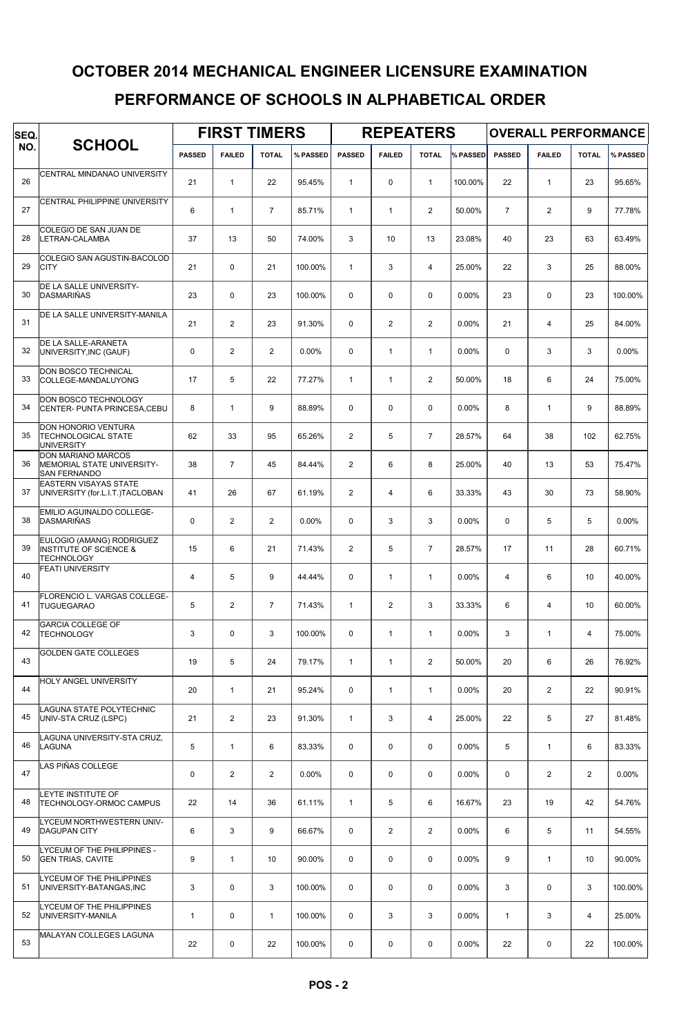| SEQ. | <b>SCHOOL</b>                                                                       |               | <b>FIRST TIMERS</b> |                |          |               |                | <b>REPEATERS</b> |          | <b>OVERALL PERFORMANCE</b> |                |                |          |  |
|------|-------------------------------------------------------------------------------------|---------------|---------------------|----------------|----------|---------------|----------------|------------------|----------|----------------------------|----------------|----------------|----------|--|
| NO.  |                                                                                     | <b>PASSED</b> | <b>FAILED</b>       | <b>TOTAL</b>   | % PASSED | <b>PASSED</b> | <b>FAILED</b>  | <b>TOTAL</b>     | % PASSED | <b>PASSED</b>              | <b>FAILED</b>  | <b>TOTAL</b>   | % PASSED |  |
| 26   | CENTRAL MINDANAO UNIVERSITY                                                         | 21            | $\mathbf{1}$        | 22             | 95.45%   | $\mathbf{1}$  | $\mathbf 0$    | $\mathbf{1}$     | 100.00%  | 22                         | $\mathbf{1}$   | 23             | 95.65%   |  |
| 27   | CENTRAL PHILIPPINE UNIVERSITY                                                       | 6             | $\mathbf{1}$        | $\overline{7}$ | 85.71%   | $\mathbf{1}$  | $\mathbf{1}$   | $\overline{2}$   | 50.00%   | $\overline{7}$             | $\overline{2}$ | 9              | 77.78%   |  |
| 28   | COLEGIO DE SAN JUAN DE<br>LETRAN-CALAMBA                                            | 37            | 13                  | 50             | 74.00%   | 3             | 10             | 13               | 23.08%   | 40                         | 23             | 63             | 63.49%   |  |
| 29   | COLEGIO SAN AGUSTIN-BACOLOD<br><b>CITY</b>                                          | 21            | $\mathbf 0$         | 21             | 100.00%  | $\mathbf{1}$  | 3              | $\overline{4}$   | 25.00%   | 22                         | 3              | 25             | 88.00%   |  |
| 30   | DE LA SALLE UNIVERSITY-<br><b>DASMARIÑAS</b>                                        | 23            | $\mathbf 0$         | 23             | 100.00%  | $\mathbf{0}$  | $\mathbf 0$    | $\mathbf 0$      | 0.00%    | 23                         | 0              | 23             | 100.00%  |  |
| 31   | DE LA SALLE UNIVERSITY-MANILA                                                       | 21            | $\mathbf{2}$        | 23             | 91.30%   | $\Omega$      | $\overline{2}$ | $\overline{2}$   | 0.00%    | 21                         | $\overline{4}$ | 25             | 84.00%   |  |
| 32   | DE LA SALLE-ARANETA<br>UNIVERSITY, INC (GAUF)                                       | $\mathbf 0$   | 2                   | $\mathbf{2}$   | 0.00%    | $\Omega$      | $\mathbf{1}$   | $\mathbf{1}$     | 0.00%    | $\mathbf 0$                | 3              | 3              | $0.00\%$ |  |
| 33   | <b>DON BOSCO TECHNICAL</b><br>COLLEGE-MANDALUYONG                                   | 17            | 5                   | 22             | 77.27%   | $\mathbf{1}$  | $\mathbf{1}$   | $\overline{2}$   | 50.00%   | 18                         | 6              | 24             | 75.00%   |  |
| 34   | DON BOSCO TECHNOLOGY<br>CENTER- PUNTA PRINCESA, CEBU                                | 8             | $\mathbf{1}$        | 9              | 88.89%   | $\Omega$      | $\mathbf 0$    | $\mathbf 0$      | 0.00%    | 8                          | $\mathbf{1}$   | 9              | 88.89%   |  |
| 35   | DON HONORIO VENTURA<br><b>TECHNOLOGICAL STATE</b><br><b>UNIVERSITY</b>              | 62            | 33                  | 95             | 65.26%   | 2             | 5              | $\overline{7}$   | 28.57%   | 64                         | 38             | 102            | 62.75%   |  |
| 36   | <b>DON MARIANO MARCOS</b><br>MEMORIAL STATE UNIVERSITY-<br><b>SAN FERNANDO</b>      | 38            | $\overline{7}$      | 45             | 84.44%   | 2             | 6              | 8                | 25.00%   | 40                         | 13             | 53             | 75.47%   |  |
| 37   | <b>EASTERN VISAYAS STATE</b><br>UNIVERSITY (for.L.I.T.)TACLOBAN                     | 41            | 26                  | 67             | 61.19%   | 2             | 4              | 6                | 33.33%   | 43                         | 30             | 73             | 58.90%   |  |
| 38   | EMILIO AGUINALDO COLLEGE-<br><b>DASMARIÑAS</b>                                      | $\mathbf 0$   | 2                   | $\mathbf{2}$   | 0.00%    | $\Omega$      | 3              | 3                | 0.00%    | $\mathbf 0$                | 5              | 5              | 0.00%    |  |
| 39   | EULOGIO (AMANG) RODRIGUEZ<br><b>INSTITUTE OF SCIENCE &amp;</b><br><b>TECHNOLOGY</b> | 15            | 6                   | 21             | 71.43%   | 2             | 5              | $\overline{7}$   | 28.57%   | 17                         | 11             | 28             | 60.71%   |  |
| 40   | <b>FEATI UNIVERSITY</b>                                                             | 4             | 5                   | 9              | 44.44%   | $\Omega$      | $\mathbf{1}$   | $\mathbf{1}$     | $0.00\%$ | $\overline{4}$             | 6              | 10             | 40.00%   |  |
| 41   | FLORENCIO L. VARGAS COLLEGE-<br><b>TUGUEGARAO</b>                                   | 5             | $\overline{2}$      | $\overline{7}$ | 71.43%   | $\mathbf{1}$  | 2              | 3                | 33.33%   | 6                          | $\overline{4}$ | 10             | 60.00%   |  |
| 42   | <b>GARCIA COLLEGE OF</b><br><b>TECHNOLOGY</b>                                       | 3             | $\mathbf 0$         | 3              | 100.00%  | $\mathbf 0$   | $\mathbf{1}$   | $\mathbf{1}$     | 0.00%    | 3                          | $\mathbf{1}$   | $\overline{4}$ | 75.00%   |  |
| 43   | <b>GOLDEN GATE COLLEGES</b>                                                         | 19            | 5                   | 24             | 79.17%   | $\mathbf{1}$  | $\mathbf{1}$   | $\overline{2}$   | 50.00%   | 20                         | 6              | 26             | 76.92%   |  |
| 44   | HOLY ANGEL UNIVERSITY                                                               | 20            | $\mathbf{1}$        | 21             | 95.24%   | $\mathbf 0$   | $\mathbf{1}$   | $\mathbf{1}$     | 0.00%    | 20                         | $\overline{2}$ | 22             | 90.91%   |  |
| 45   | LAGUNA STATE POLYTECHNIC<br>UNIV-STA CRUZ (LSPC)                                    | 21            | $\overline{2}$      | 23             | 91.30%   | $\mathbf{1}$  | 3              | 4                | 25.00%   | 22                         | 5              | 27             | 81.48%   |  |
| 46   | LAGUNA UNIVERSITY-STA CRUZ,<br>LAGUNA                                               | 5             | $\mathbf{1}$        | 6              | 83.33%   | $\mathbf 0$   | $\mathbf 0$    | $\mathbf 0$      | 0.00%    | 5                          | $\mathbf{1}$   | 6              | 83.33%   |  |
| 47   | LAS PIÑAS COLLEGE                                                                   | $\mathsf 0$   | $\overline{2}$      | $\overline{2}$ | 0.00%    | $\mathbf 0$   | $\mathbf 0$    | $\mathbf 0$      | 0.00%    | $\mathbf 0$                | $\overline{2}$ | $\overline{2}$ | $0.00\%$ |  |
| 48   | LEYTE INSTITUTE OF<br>TECHNOLOGY-ORMOC CAMPUS                                       | 22            | 14                  | 36             | 61.11%   | $\mathbf{1}$  | 5              | 6                | 16.67%   | 23                         | 19             | 42             | 54.76%   |  |
| 49   | LYCEUM NORTHWESTERN UNIV-<br><b>DAGUPAN CITY</b>                                    | 6             | 3                   | 9              | 66.67%   | $\mathbf 0$   | $\overline{2}$ | $\overline{2}$   | 0.00%    | 6                          | 5              | 11             | 54.55%   |  |
| 50   | LYCEUM OF THE PHILIPPINES -<br><b>GEN TRIAS, CAVITE</b>                             | 9             | $\mathbf{1}$        | 10             | 90.00%   | $\mathbf 0$   | 0              | 0                | 0.00%    | 9                          | $\mathbf{1}$   | 10             | 90.00%   |  |
| 51   | LYCEUM OF THE PHILIPPINES<br>UNIVERSITY-BATANGAS, INC                               | 3             | $\mathbf 0$         | 3              | 100.00%  | $\mathbf 0$   | 0              | 0                | 0.00%    | 3                          | 0              | 3              | 100.00%  |  |
| 52   | LYCEUM OF THE PHILIPPINES<br>UNIVERSITY-MANILA                                      | $\mathbf{1}$  | 0                   | $\mathbf{1}$   | 100.00%  | $\mathbf 0$   | 3              | 3                | $0.00\%$ | $\mathbf{1}$               | 3              | $\overline{4}$ | 25.00%   |  |
| 53   | MALAYAN COLLEGES LAGUNA                                                             | 22            | 0                   | 22             | 100.00%  | $\mathsf 0$   | $\pmb{0}$      | 0                | 0.00%    | 22                         | 0              | 22             | 100.00%  |  |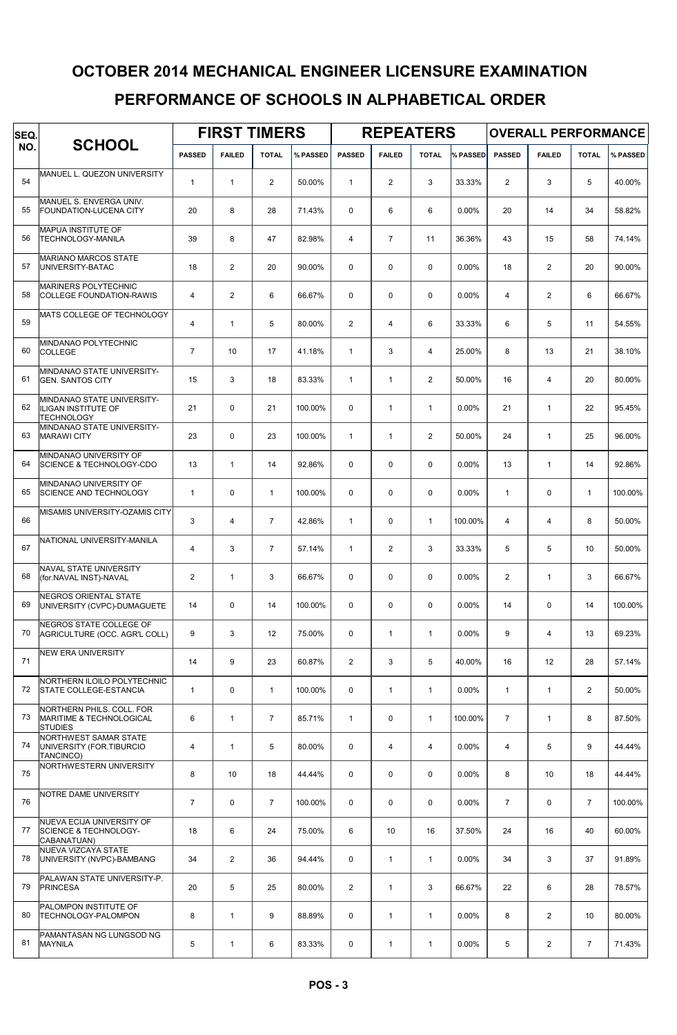| SEQ. | <b>SCHOOL</b>                                                                |                | <b>FIRST TIMERS</b> |                |          |                |                | <b>REPEATERS</b> |          | <b>OVERALL PERFORMANCE</b> |                 |                |          |  |
|------|------------------------------------------------------------------------------|----------------|---------------------|----------------|----------|----------------|----------------|------------------|----------|----------------------------|-----------------|----------------|----------|--|
| NO.  |                                                                              | <b>PASSED</b>  | <b>FAILED</b>       | <b>TOTAL</b>   | % PASSED | <b>PASSED</b>  | <b>FAILED</b>  | <b>TOTAL</b>     | % PASSED | <b>PASSED</b>              | <b>FAILED</b>   | <b>TOTAL</b>   | % PASSED |  |
| 54   | MANUEL L. QUEZON UNIVERSITY                                                  | $\mathbf{1}$   | $\mathbf{1}$        | $\overline{2}$ | 50.00%   | $\mathbf{1}$   | $\overline{2}$ | 3                | 33.33%   | $\overline{2}$             | 3               | 5              | 40.00%   |  |
| 55   | MANUEL S. ENVERGA UNIV.<br>FOUNDATION-LUCENA CITY                            | 20             | 8                   | 28             | 71.43%   | $\Omega$       | 6              | 6                | 0.00%    | 20                         | 14              | 34             | 58.82%   |  |
| 56   | <b>MAPUA INSTITUTE OF</b><br>TECHNOLOGY-MANILA                               | 39             | 8                   | 47             | 82.98%   | $\overline{4}$ | $\overline{7}$ | 11               | 36.36%   | 43                         | 15              | 58             | 74.14%   |  |
| 57   | <b>MARIANO MARCOS STATE</b><br>UNIVERSITY-BATAC                              | 18             | $\mathbf{2}$        | 20             | 90.00%   | $\mathbf 0$    | $\mathbf 0$    | $\mathbf 0$      | 0.00%    | 18                         | $\overline{2}$  | 20             | 90.00%   |  |
| 58   | <b>MARINERS POLYTECHNIC</b><br><b>COLLEGE FOUNDATION-RAWIS</b>               | $\overline{4}$ | 2                   | 6              | 66.67%   | $\mathbf 0$    | $\pmb{0}$      | $\mathbf 0$      | 0.00%    | $\overline{4}$             | $\overline{2}$  | 6              | 66.67%   |  |
| 59   | MATS COLLEGE OF TECHNOLOGY                                                   | $\overline{4}$ | $\mathbf{1}$        | 5              | 80.00%   | 2              | 4              | 6                | 33.33%   | 6                          | 5               | 11             | 54.55%   |  |
| 60   | MINDANAO POLYTECHNIC<br><b>COLLEGE</b>                                       | $\overline{7}$ | 10                  | 17             | 41.18%   | $\mathbf{1}$   | 3              | 4                | 25.00%   | 8                          | 13              | 21             | 38.10%   |  |
| 61   | MINDANAO STATE UNIVERSITY-<br><b>GEN. SANTOS CITY</b>                        | 15             | 3                   | 18             | 83.33%   | $\overline{1}$ | $\mathbf{1}$   | $\overline{2}$   | 50.00%   | 16                         | $\overline{4}$  | 20             | 80.00%   |  |
| 62   | MINDANAO STATE UNIVERSITY-<br>ILIGAN INSTITUTE OF<br><b>TECHNOLOGY</b>       | 21             | $\mathbf 0$         | 21             | 100.00%  | $\Omega$       | $\mathbf{1}$   | $\mathbf{1}$     | 0.00%    | 21                         | $\mathbf{1}$    | 22             | 95.45%   |  |
| 63   | MINDANAO STATE UNIVERSITY-<br><b>MARAWI CITY</b>                             | 23             | $\mathbf 0$         | 23             | 100.00%  | $\mathbf{1}$   | $\mathbf{1}$   | $\overline{2}$   | 50.00%   | 24                         | $\mathbf{1}$    | 25             | 96.00%   |  |
| 64   | MINDANAO UNIVERSITY OF<br><b>SCIENCE &amp; TECHNOLOGY-CDO</b>                | 13             | $\mathbf{1}$        | 14             | 92.86%   | $\mathbf 0$    | $\mathbf 0$    | $\mathbf 0$      | 0.00%    | 13                         | $\mathbf{1}$    | 14             | 92.86%   |  |
| 65   | MINDANAO UNIVERSITY OF<br><b>SCIENCE AND TECHNOLOGY</b>                      | $\mathbf{1}$   | $\mathbf 0$         | $\mathbf{1}$   | 100.00%  | $\mathbf 0$    | $\mathbf 0$    | $\mathbf 0$      | 0.00%    | $\mathbf{1}$               | 0               | $\mathbf{1}$   | 100.00%  |  |
| 66   | MISAMIS UNIVERSITY-OZAMIS CITY                                               | 3              | $\overline{4}$      | $\overline{7}$ | 42.86%   | $\mathbf{1}$   | $\mathbf 0$    | $\mathbf{1}$     | 100.00%  | 4                          | 4               | 8              | 50.00%   |  |
| 67   | NATIONAL UNIVERSITY-MANILA                                                   | $\overline{4}$ | 3                   | $\overline{7}$ | 57.14%   | $\mathbf{1}$   | $\mathbf{2}$   | 3                | 33.33%   | 5                          | 5               | 10             | 50.00%   |  |
| 68   | NAVAL STATE UNIVERSITY<br>(for.NAVAL INST)-NAVAL                             | $\overline{2}$ | $\mathbf{1}$        | 3              | 66.67%   | $\mathbf 0$    | $\mathbf 0$    | $\mathbf 0$      | 0.00%    | 2                          | $\mathbf{1}$    | 3              | 66.67%   |  |
| 69   | NEGROS ORIENTAL STATE<br>UNIVERSITY (CVPC)-DUMAGUETE                         | 14             | $\mathbf 0$         | 14             | 100.00%  | $\Omega$       | $\mathbf 0$    | $\Omega$         | 0.00%    | 14                         | 0               | 14             | 100.00%  |  |
| 70   | NEGROS STATE COLLEGE OF<br>AGRICULTURE (OCC. AGR'L COLL)                     | 9              | 3                   | 12             | 75.00%   | $\mathbf 0$    | $\mathbf{1}$   | $\mathbf{1}$     | 0.00%    | 9                          | 4               | 13             | 69.23%   |  |
| 71   | <b>NEW ERA UNIVERSITY</b>                                                    | 14             | 9                   | 23             | 60.87%   | 2              | 3              | 5                | 40.00%   | 16                         | 12              | 28             | 57.14%   |  |
| 72   | NORTHERN ILOILO POLYTECHNIC<br>STATE COLLEGE-ESTANCIA                        | $\mathbf{1}$   | $\mathbf 0$         | $\mathbf{1}$   | 100.00%  | $\mathbf 0$    | $\mathbf{1}$   | $\mathbf{1}$     | 0.00%    | $\mathbf{1}$               | $\mathbf{1}$    | $\overline{2}$ | 50.00%   |  |
| 73   | NORTHERN PHILS. COLL. FOR<br>MARITIME & TECHNOLOGICAL<br><b>STUDIES</b>      | 6              | $\mathbf{1}$        | $\overline{7}$ | 85.71%   | $\mathbf{1}$   | 0              | $\mathbf{1}$     | 100.00%  | $\overline{7}$             | $\mathbf{1}$    | 8              | 87.50%   |  |
| 74   | NORTHWEST SAMAR STATE<br>UNIVERSITY (FOR.TIBURCIO<br>TANCINCO)               | 4              | $\mathbf{1}$        | 5              | 80.00%   | $\mathbf 0$    | 4              | $\overline{4}$   | 0.00%    | 4                          | 5               | 9              | 44.44%   |  |
| 75   | NORTHWESTERN UNIVERSITY                                                      | 8              | 10                  | 18             | 44.44%   | $\mathbf 0$    | $\mathbf 0$    | $\mathbf 0$      | 0.00%    | 8                          | 10 <sup>°</sup> | 18             | 44.44%   |  |
| 76   | NOTRE DAME UNIVERSITY                                                        | $\overline{7}$ | $\mathbf 0$         | $\overline{7}$ | 100.00%  | $\mathbf 0$    | 0              | 0                | 0.00%    | $\overline{7}$             | 0               | $\overline{7}$ | 100.00%  |  |
| 77   | NUEVA ECIJA UNIVERSITY OF<br><b>SCIENCE &amp; TECHNOLOGY-</b><br>CABANATUAN) | 18             | 6                   | 24             | 75.00%   | 6              | 10             | 16               | 37.50%   | 24                         | 16              | 40             | 60.00%   |  |
| 78   | NUEVA VIZCAYA STATE<br>UNIVERSITY (NVPC)-BAMBANG                             | 34             | $\overline{2}$      | 36             | 94.44%   | $\mathbf 0$    | $\mathbf{1}$   | $\mathbf{1}$     | 0.00%    | 34                         | 3               | 37             | 91.89%   |  |
| 79   | PALAWAN STATE UNIVERSITY-P.<br><b>PRINCESA</b>                               | 20             | 5                   | 25             | 80.00%   | 2              | $\mathbf{1}$   | 3                | 66.67%   | 22                         | 6               | 28             | 78.57%   |  |
| 80   | PALOMPON INSTITUTE OF<br>TECHNOLOGY-PALOMPON                                 | 8              | $\mathbf{1}$        | 9              | 88.89%   | 0              | $\mathbf{1}$   | $\mathbf{1}$     | 0.00%    | 8                          | $\overline{2}$  | 10             | 80.00%   |  |
| 81   | PAMANTASAN NG LUNGSOD NG<br><b>MAYNILA</b>                                   | $\overline{5}$ | $\mathbf{1}$        | 6              | 83.33%   | $\mathsf 0$    | $\mathbf{1}$   | $\mathbf{1}$     | 0.00%    | 5                          | $\overline{c}$  | $\overline{7}$ | 71.43%   |  |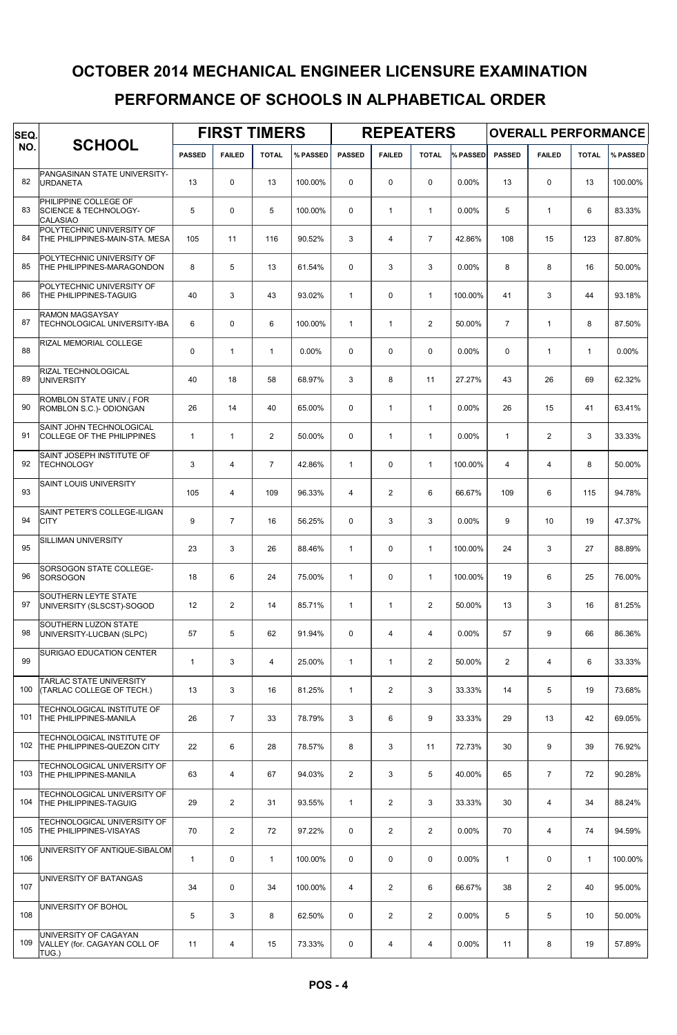| SEQ. | <b>SCHOOL</b>                                                                |               | <b>FIRST TIMERS</b> |                |          |                |                | <b>REPEATERS</b> |          | <b>OVERALL PERFORMANCE</b> |                         |              |          |  |
|------|------------------------------------------------------------------------------|---------------|---------------------|----------------|----------|----------------|----------------|------------------|----------|----------------------------|-------------------------|--------------|----------|--|
| NO.  |                                                                              | <b>PASSED</b> | <b>FAILED</b>       | <b>TOTAL</b>   | % PASSED | <b>PASSED</b>  | <b>FAILED</b>  | <b>TOTAL</b>     | % PASSED | <b>PASSED</b>              | <b>FAILED</b>           | <b>TOTAL</b> | % PASSED |  |
| 82   | PANGASINAN STATE UNIVERSITY-<br><b>URDANETA</b>                              | 13            | $\mathbf 0$         | 13             | 100.00%  | $\Omega$       | $\mathbf 0$    | $\mathbf 0$      | 0.00%    | 13                         | 0                       | 13           | 100.00%  |  |
| 83   | PHILIPPINE COLLEGE OF<br><b>SCIENCE &amp; TECHNOLOGY-</b><br><b>CALASIAO</b> | 5             | $\mathbf 0$         | 5              | 100.00%  | $\Omega$       | $\mathbf{1}$   | $\mathbf{1}$     | 0.00%    | 5                          | $\mathbf{1}$            | 6            | 83.33%   |  |
| 84   | POLYTECHNIC UNIVERSITY OF<br>THE PHILIPPINES-MAIN-STA. MESA                  | 105           | 11                  | 116            | 90.52%   | 3              | $\overline{4}$ | $\overline{7}$   | 42.86%   | 108                        | 15                      | 123          | 87.80%   |  |
| 85   | POLYTECHNIC UNIVERSITY OF<br>THE PHILIPPINES-MARAGONDON                      | 8             | 5                   | 13             | 61.54%   | $\Omega$       | 3              | 3                | 0.00%    | 8                          | 8                       | 16           | 50.00%   |  |
| 86   | POLYTECHNIC UNIVERSITY OF<br>THE PHILIPPINES-TAGUIG                          | 40            | 3                   | 43             | 93.02%   | $\mathbf{1}$   | $\pmb{0}$      | $\mathbf{1}$     | 100.00%  | 41                         | 3                       | 44           | 93.18%   |  |
| 87   | <b>RAMON MAGSAYSAY</b><br>TECHNOLOGICAL UNIVERSITY-IBA                       | 6             | $\mathbf 0$         | 6              | 100.00%  | $\mathbf{1}$   | $\mathbf{1}$   | $\overline{2}$   | 50.00%   | $\overline{7}$             | $\mathbf{1}$            | 8            | 87.50%   |  |
| 88   | RIZAL MEMORIAL COLLEGE                                                       | 0             | $\mathbf{1}$        | $\mathbf{1}$   | 0.00%    | $\mathbf 0$    | $\pmb{0}$      | $\mathbf 0$      | 0.00%    | $\mathbf 0$                | $\mathbf{1}$            | $\mathbf{1}$ | $0.00\%$ |  |
| 89   | RIZAL TECHNOLOGICAL<br><b>UNIVERSITY</b>                                     | 40            | 18                  | 58             | 68.97%   | 3              | 8              | 11               | 27.27%   | 43                         | 26                      | 69           | 62.32%   |  |
| 90   | ROMBLON STATE UNIV.(FOR<br>ROMBLON S.C.)- ODIONGAN                           | 26            | 14                  | 40             | 65.00%   | $\Omega$       | $\mathbf{1}$   | $\mathbf{1}$     | 0.00%    | 26                         | 15                      | 41           | 63.41%   |  |
| 91   | SAINT JOHN TECHNOLOGICAL<br>COLLEGE OF THE PHILIPPINES                       | $\mathbf{1}$  | $\mathbf{1}$        | $\overline{2}$ | 50.00%   | $\Omega$       | $\mathbf{1}$   | $\mathbf{1}$     | 0.00%    | $\mathbf{1}$               | $\overline{2}$          | 3            | 33.33%   |  |
| 92   | SAINT JOSEPH INSTITUTE OF<br><b>TECHNOLOGY</b>                               | 3             | $\overline{4}$      | $\overline{7}$ | 42.86%   | $\mathbf{1}$   | $\mathbf 0$    | $\mathbf{1}$     | 100.00%  | 4                          | $\overline{4}$          | 8            | 50.00%   |  |
| 93   | <b>SAINT LOUIS UNIVERSITY</b>                                                | 105           | $\overline{4}$      | 109            | 96.33%   | $\overline{4}$ | $\overline{2}$ | 6                | 66.67%   | 109                        | 6                       | 115          | 94.78%   |  |
| 94   | SAINT PETER'S COLLEGE-ILIGAN<br><b>CITY</b>                                  | 9             | $\overline{7}$      | 16             | 56.25%   | $\Omega$       | 3              | 3                | 0.00%    | 9                          | 10                      | 19           | 47.37%   |  |
| 95   | <b>SILLIMAN UNIVERSITY</b>                                                   | 23            | 3                   | 26             | 88.46%   | $\mathbf{1}$   | $\mathbf 0$    | $\mathbf{1}$     | 100.00%  | 24                         | 3                       | 27           | 88.89%   |  |
| 96   | <b>SORSOGON STATE COLLEGE-</b><br>SORSOGON                                   | 18            | 6                   | 24             | 75.00%   | $\mathbf{1}$   | $\mathbf 0$    | $\mathbf{1}$     | 100.00%  | 19                         | 6                       | 25           | 76.00%   |  |
| 97   | <b>SOUTHERN LEYTE STATE</b><br>UNIVERSITY (SLSCST)-SOGOD                     | 12            | $\overline{2}$      | 14             | 85.71%   | $\mathbf{1}$   | $\mathbf{1}$   | $\overline{2}$   | 50.00%   | 13                         | 3                       | 16           | 81.25%   |  |
| 98   | <b>SOUTHERN LUZON STATE</b><br>UNIVERSITY-LUCBAN (SLPC)                      | 57            | 5                   | 62             | 91.94%   | $\mathbf 0$    | 4              | 4                | 0.00%    | 57                         | 9                       | 66           | 86.36%   |  |
| 99   | <b>SURIGAO EDUCATION CENTER</b>                                              | $\mathbf{1}$  | 3                   | 4              | 25.00%   | $\mathbf{1}$   | $\mathbf{1}$   | $\overline{2}$   | 50.00%   | $\overline{2}$             | $\overline{\mathbf{4}}$ | 6            | 33.33%   |  |
| 100  | TARLAC STATE UNIVERSITY<br>(TARLAC COLLEGE OF TECH.)                         | 13            | 3                   | 16             | 81.25%   | $\mathbf{1}$   | $\overline{2}$ | 3                | 33.33%   | 14                         | 5                       | 19           | 73.68%   |  |
| 101  | TECHNOLOGICAL INSTITUTE OF<br><b>THE PHILIPPINES-MANILA</b>                  | 26            | $\overline{7}$      | 33             | 78.79%   | 3              | 6              | 9                | 33.33%   | 29                         | 13                      | 42           | 69.05%   |  |
| 102  | TECHNOLOGICAL INSTITUTE OF<br>THE PHILIPPINES-QUEZON CITY                    | 22            | 6                   | 28             | 78.57%   | 8              | 3              | 11               | 72.73%   | 30                         | 9                       | 39           | 76.92%   |  |
| 103  | TECHNOLOGICAL UNIVERSITY OF<br>THE PHILIPPINES-MANILA                        | 63            | $\overline{4}$      | 67             | 94.03%   | 2              | 3              | 5                | 40.00%   | 65                         | $\overline{7}$          | 72           | 90.28%   |  |
| 104  | TECHNOLOGICAL UNIVERSITY OF<br>THE PHILIPPINES-TAGUIG                        | 29            | $\overline{2}$      | 31             | 93.55%   | $\mathbf{1}$   | $\overline{2}$ | 3                | 33.33%   | 30                         | 4                       | 34           | 88.24%   |  |
| 105  | TECHNOLOGICAL UNIVERSITY OF<br>THE PHILIPPINES-VISAYAS                       | 70            | $\overline{2}$      | 72             | 97.22%   | $\mathbf 0$    | $\overline{2}$ | $\overline{2}$   | 0.00%    | 70                         | $\overline{\mathbf{4}}$ | 74           | 94.59%   |  |
| 106  | UNIVERSITY OF ANTIQUE-SIBALOM                                                | $\mathbf{1}$  | 0                   | $\mathbf{1}$   | 100.00%  | $\mathbf 0$    | $\pmb{0}$      | 0                | 0.00%    | $\mathbf{1}$               | 0                       | $\mathbf{1}$ | 100.00%  |  |
| 107  | UNIVERSITY OF BATANGAS                                                       | 34            | 0                   | 34             | 100.00%  | 4              | $\overline{2}$ | 6                | 66.67%   | 38                         | $\overline{2}$          | 40           | 95.00%   |  |
| 108  | UNIVERSITY OF BOHOL                                                          | 5             | 3                   | 8              | 62.50%   | $\mathbf 0$    | $\overline{2}$ | $\overline{2}$   | $0.00\%$ | 5                          | 5                       | 10           | 50.00%   |  |
| 109  | UNIVERSITY OF CAGAYAN<br>VALLEY (for. CAGAYAN COLL OF<br>TUG.)               | 11            | 4                   | 15             | 73.33%   | 0              | 4              | $\overline{4}$   | 0.00%    | 11                         | 8                       | 19           | 57.89%   |  |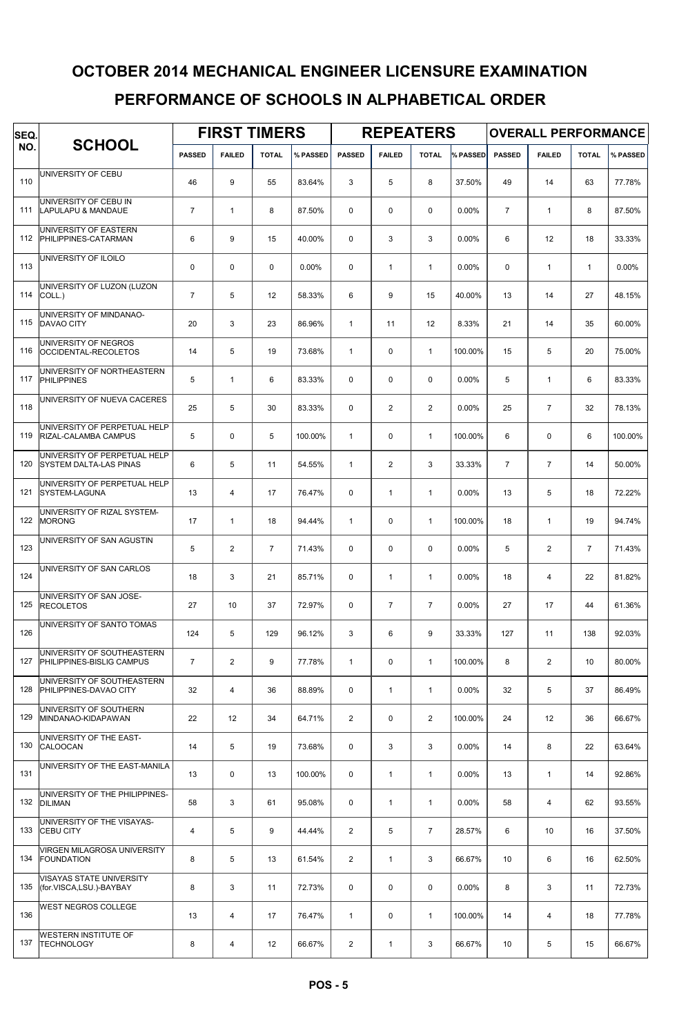| SEQ. | <b>SCHOOL</b>                                                  |                | <b>FIRST TIMERS</b> |                |          |                |                | <b>REPEATERS</b> |          | <b>OVERALL PERFORMANCE</b> |                |                |          |  |
|------|----------------------------------------------------------------|----------------|---------------------|----------------|----------|----------------|----------------|------------------|----------|----------------------------|----------------|----------------|----------|--|
| NO.  |                                                                | <b>PASSED</b>  | <b>FAILED</b>       | <b>TOTAL</b>   | % PASSED | <b>PASSED</b>  | <b>FAILED</b>  | <b>TOTAL</b>     | % PASSED | <b>PASSED</b>              | <b>FAILED</b>  | <b>TOTAL</b>   | % PASSED |  |
| 110  | UNIVERSITY OF CEBU                                             | 46             | 9                   | 55             | 83.64%   | 3              | 5              | 8                | 37.50%   | 49                         | 14             | 63             | 77.78%   |  |
| 111  | UNIVERSITY OF CEBU IN<br><b>LAPULAPU &amp; MANDAUE</b>         | $\overline{7}$ | $\mathbf{1}$        | 8              | 87.50%   | $\Omega$       | $\mathbf 0$    | $\mathbf 0$      | 0.00%    | $\overline{7}$             | $\mathbf{1}$   | 8              | 87.50%   |  |
| 112  | UNIVERSITY OF EASTERN<br><b>PHILIPPINES-CATARMAN</b>           | 6              | 9                   | 15             | 40.00%   | $\Omega$       | 3              | 3                | 0.00%    | 6                          | 12             | 18             | 33.33%   |  |
| 113  | UNIVERSITY OF ILOILO                                           | $\mathbf 0$    | $\mathbf 0$         | 0              | 0.00%    | $\mathbf 0$    | $\mathbf{1}$   | $\mathbf{1}$     | 0.00%    | $\mathbf 0$                | $\mathbf{1}$   | $\mathbf{1}$   | 0.00%    |  |
| 114  | UNIVERSITY OF LUZON (LUZON<br>COLL.)                           | $\overline{7}$ | 5                   | 12             | 58.33%   | 6              | 9              | 15               | 40.00%   | 13                         | 14             | 27             | 48.15%   |  |
| 115  | UNIVERSITY OF MINDANAO-<br><b>DAVAO CITY</b>                   | 20             | 3                   | 23             | 86.96%   | $\mathbf{1}$   | 11             | 12               | 8.33%    | 21                         | 14             | 35             | 60.00%   |  |
| 116  | UNIVERSITY OF NEGROS<br>OCCIDENTAL-RECOLETOS                   | 14             | 5                   | 19             | 73.68%   | $\mathbf{1}$   | $\mathbf 0$    | $\mathbf{1}$     | 100.00%  | 15                         | 5              | 20             | 75.00%   |  |
| 117  | UNIVERSITY OF NORTHEASTERN<br><b>PHILIPPINES</b>               | 5              | $\mathbf{1}$        | 6              | 83.33%   | $\Omega$       | $\mathbf 0$    | $\mathbf 0$      | 0.00%    | 5                          | $\mathbf{1}$   | 6              | 83.33%   |  |
| 118  | UNIVERSITY OF NUEVA CACERES                                    | 25             | 5                   | 30             | 83.33%   | $\Omega$       | $\overline{2}$ | $\overline{2}$   | 0.00%    | 25                         | $\overline{7}$ | 32             | 78.13%   |  |
| 119  | UNIVERSITY OF PERPETUAL HELP<br>RIZAL-CALAMBA CAMPUS           | 5              | $\Omega$            | 5              | 100.00%  | $\mathbf{1}$   | $\Omega$       | $\mathbf{1}$     | 100.00%  | 6                          | $\Omega$       | 6              | 100.00%  |  |
| 120  | UNIVERSITY OF PERPETUAL HELP<br><b>SYSTEM DALTA-LAS PINAS</b>  | 6              | 5                   | 11             | 54.55%   | $\mathbf{1}$   | $\overline{2}$ | 3                | 33.33%   | $\overline{7}$             | $\overline{7}$ | 14             | 50.00%   |  |
| 121  | UNIVERSITY OF PERPETUAL HELP<br>SYSTEM-LAGUNA                  | 13             | $\overline{4}$      | 17             | 76.47%   | $\mathbf 0$    | $\mathbf{1}$   | $\mathbf{1}$     | 0.00%    | 13                         | 5              | 18             | 72.22%   |  |
| 122  | UNIVERSITY OF RIZAL SYSTEM-<br><b>MORONG</b>                   | 17             | $\mathbf{1}$        | 18             | 94.44%   | $\mathbf{1}$   | $\mathbf 0$    | $\mathbf{1}$     | 100.00%  | 18                         | $\mathbf{1}$   | 19             | 94.74%   |  |
| 123  | UNIVERSITY OF SAN AGUSTIN                                      | 5              | $\mathbf{2}$        | $\overline{7}$ | 71.43%   | $\Omega$       | $\mathbf 0$    | $\mathbf 0$      | 0.00%    | 5                          | $\overline{2}$ | $\overline{7}$ | 71.43%   |  |
| 124  | UNIVERSITY OF SAN CARLOS                                       | 18             | 3                   | 21             | 85.71%   | $\mathbf 0$    | $\mathbf{1}$   | $\mathbf{1}$     | 0.00%    | 18                         | $\overline{4}$ | 22             | 81.82%   |  |
| 125  | UNIVERSITY OF SAN JOSE-<br><b>RECOLETOS</b>                    | 27             | 10                  | 37             | 72.97%   | $\mathbf{0}$   | $\overline{7}$ | $\overline{7}$   | 0.00%    | 27                         | 17             | 44             | 61.36%   |  |
| 126  | UNIVERSITY OF SANTO TOMAS                                      | 124            | 5                   | 129            | 96.12%   | 3              | 6              | 9                | 33.33%   | 127                        | 11             | 138            | 92.03%   |  |
| 127  | UNIVERSITY OF SOUTHEASTERN<br><b>PHILIPPINES-BISLIG CAMPUS</b> | $\overline{7}$ | $\mathbf{2}$        | 9              | 77.78%   | $\mathbf{1}$   | $\pmb{0}$      | $\mathbf{1}$     | 100.00%  | 8                          | $\overline{2}$ | 10             | 80.00%   |  |
| 128  | UNIVERSITY OF SOUTHEASTERN<br>PHILIPPINES-DAVAO CITY           | 32             | 4                   | 36             | 88.89%   | 0              | $\mathbf{1}$   | $\mathbf{1}$     | 0.00%    | 32                         | 5              | 37             | 86.49%   |  |
| 129  | UNIVERSITY OF SOUTHERN<br>MINDANAO-KIDAPAWAN                   | 22             | 12                  | 34             | 64.71%   | 2              | $\mathbf 0$    | $\overline{2}$   | 100.00%  | 24                         | 12             | 36             | 66.67%   |  |
| 130  | UNIVERSITY OF THE EAST-<br>CALOOCAN                            | 14             | 5                   | 19             | 73.68%   | $\mathbf 0$    | 3              | 3                | 0.00%    | 14                         | 8              | 22             | 63.64%   |  |
| 131  | UNIVERSITY OF THE EAST-MANILA                                  | 13             | $\mathbf 0$         | 13             | 100.00%  | $\mathbf 0$    | $\mathbf{1}$   | $\mathbf{1}$     | 0.00%    | 13                         | $\mathbf{1}$   | 14             | 92.86%   |  |
| 132  | UNIVERSITY OF THE PHILIPPINES-<br><b>DILIMAN</b>               | 58             | 3                   | 61             | 95.08%   | $\mathbf 0$    | $\mathbf{1}$   | $\mathbf{1}$     | 0.00%    | 58                         | 4              | 62             | 93.55%   |  |
| 133  | UNIVERSITY OF THE VISAYAS-<br><b>CEBU CITY</b>                 | 4              | 5                   | 9              | 44.44%   | 2              | 5              | $\overline{7}$   | 28.57%   | 6                          | 10             | 16             | 37.50%   |  |
| 134  | <b>VIRGEN MILAGROSA UNIVERSITY</b><br><b>FOUNDATION</b>        | 8              | 5                   | 13             | 61.54%   | 2              | $\mathbf{1}$   | 3                | 66.67%   | 10                         | 6              | 16             | 62.50%   |  |
| 135  | <b>VISAYAS STATE UNIVERSITY</b><br>(for.VISCA,LSU.)-BAYBAY     | 8              | 3                   | 11             | 72.73%   | $\mathbf 0$    | $\pmb{0}$      | 0                | 0.00%    | 8                          | 3              | 11             | 72.73%   |  |
| 136  | <b>WEST NEGROS COLLEGE</b>                                     | 13             | 4                   | 17             | 76.47%   | $\mathbf{1}$   | 0              | $\mathbf{1}$     | 100.00%  | 14                         | 4              | 18             | 77.78%   |  |
| 137  | <b>WESTERN INSTITUTE OF</b><br><b>TECHNOLOGY</b>               | 8              | 4                   | 12             | 66.67%   | $\overline{2}$ | $\mathbf{1}$   | 3                | 66.67%   | 10                         | 5              | 15             | 66.67%   |  |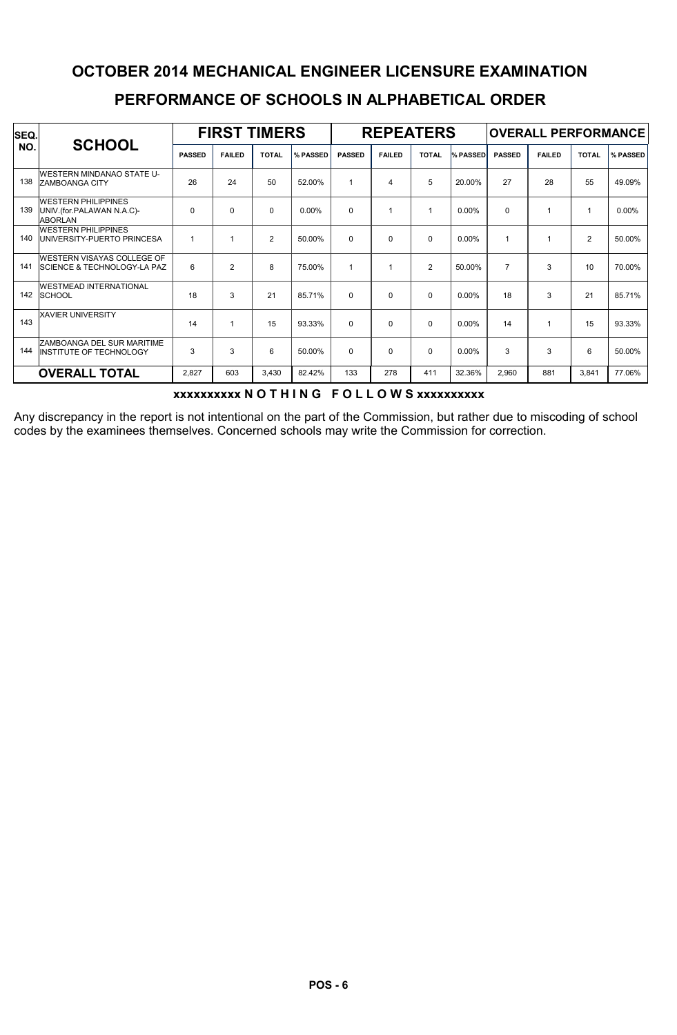| SEQ. | <b>SCHOOL</b>                                                               |               | <b>FIRST TIMERS</b> |                |          |               | <b>REPEATERS</b> |                |          | <b>OVERALL PERFORMANCE</b> |               |                |          |  |
|------|-----------------------------------------------------------------------------|---------------|---------------------|----------------|----------|---------------|------------------|----------------|----------|----------------------------|---------------|----------------|----------|--|
| NO.  |                                                                             | <b>PASSED</b> | <b>FAILED</b>       | <b>TOTAL</b>   | % PASSED | <b>PASSED</b> | <b>FAILED</b>    | <b>TOTAL</b>   | % PASSED | <b>PASSED</b>              | <b>FAILED</b> | <b>TOTAL</b>   | % PASSED |  |
| 138  | <b>WESTERN MINDANAO STATE U-</b><br><b>ZAMBOANGA CITY</b>                   | 26            | 24                  | 50             | 52.00%   | 1             | $\overline{4}$   | 5              | 20.00%   | 27                         | 28            | 55             | 49.09%   |  |
| 139  | <b>WESTERN PHILIPPINES</b><br>UNIV.(for.PALAWAN N.A.C)-<br><b>ABORLAN</b>   | 0             | $\Omega$            | $\mathbf 0$    | $0.00\%$ | $\Omega$      | 1                | $\overline{1}$ | 0.00%    | $\Omega$                   | 1             | 1              | $0.00\%$ |  |
| 140  | <b>WESTERN PHILIPPINES</b><br>UNIVERSITY-PUERTO PRINCESA                    | 1             | $\overline{1}$      | $\overline{2}$ | 50.00%   | $\Omega$      | $\Omega$         | $\Omega$       | 0.00%    | 1                          | 1             | $\overline{2}$ | 50.00%   |  |
| 141  | <b>WESTERN VISAYAS COLLEGE OF</b><br><b>SCIENCE &amp; TECHNOLOGY-LA PAZ</b> | 6             | 2                   | 8              | 75.00%   | 1             | 1                | 2              | 50.00%   | $\overline{7}$             | 3             | 10             | 70.00%   |  |
| 142  | <b>WESTMEAD INTERNATIONAL</b><br><b>SCHOOL</b>                              | 18            | 3                   | 21             | 85.71%   | $\Omega$      | $\mathbf 0$      | $\Omega$       | $0.00\%$ | 18                         | 3             | 21             | 85.71%   |  |
| 143  | <b>XAVIER UNIVERSITY</b>                                                    | 14            | $\overline{1}$      | 15             | 93.33%   | $\Omega$      | $\Omega$         | $\Omega$       | $0.00\%$ | 14                         | 1             | 15             | 93.33%   |  |
| 144  | <b>ZAMBOANGA DEL SUR MARITIME</b><br><b>INSTITUTE OF TECHNOLOGY</b>         | 3             | 3                   | 6              | 50.00%   | $\Omega$      | $\Omega$         | $\Omega$       | $0.00\%$ | 3                          | 3             | 6              | 50.00%   |  |
|      | <b>OVERALL TOTAL</b>                                                        | 2,827         | 603                 | 3,430          | 82.42%   | 133           | 278              | 411            | 32.36%   | 2,960                      | 881           | 3,841          | 77.06%   |  |

xxxxxxxxxx N O T H I N G F O L L O W S xxxxxxxxxx

Any discrepancy in the report is not intentional on the part of the Commission, but rather due to miscoding of school codes by the examinees themselves. Concerned schools may write the Commission for correction.